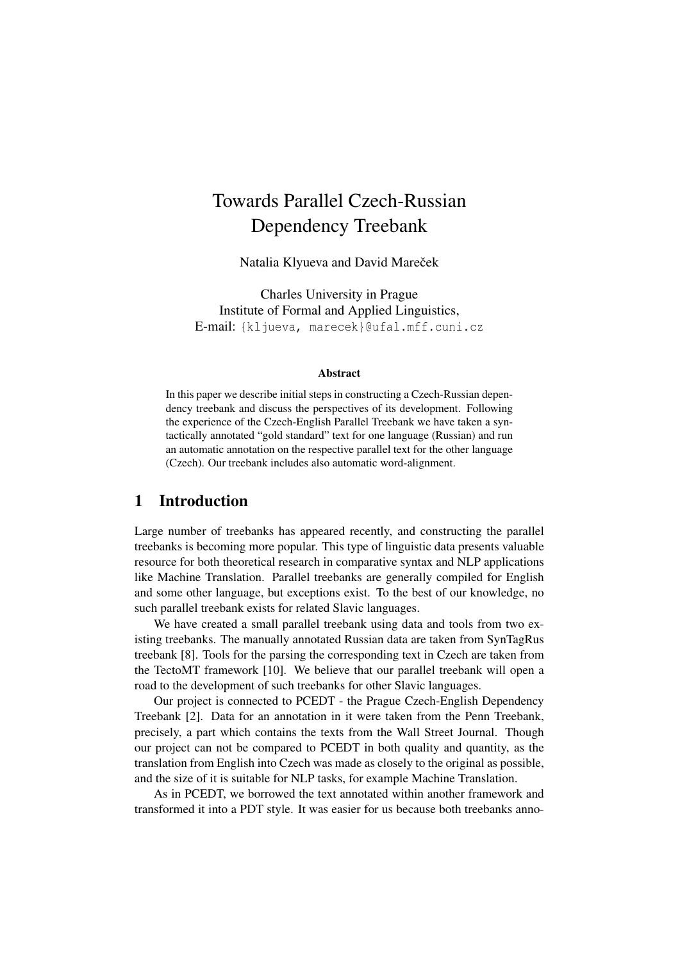# Towards Parallel Czech-Russian Dependency Treebank

Natalia Klyueva and David Mareček

Charles University in Prague Institute of Formal and Applied Linguistics, E-mail: {kljueva, marecek}@ufal.mff.cuni.cz

#### Abstract

In this paper we describe initial steps in constructing a Czech-Russian dependency treebank and discuss the perspectives of its development. Following the experience of the Czech-English Parallel Treebank we have taken a syntactically annotated "gold standard" text for one language (Russian) and run an automatic annotation on the respective parallel text for the other language (Czech). Our treebank includes also automatic word-alignment.

### 1 Introduction

Large number of treebanks has appeared recently, and constructing the parallel treebanks is becoming more popular. This type of linguistic data presents valuable resource for both theoretical research in comparative syntax and NLP applications like Machine Translation. Parallel treebanks are generally compiled for English and some other language, but exceptions exist. To the best of our knowledge, no such parallel treebank exists for related Slavic languages.

We have created a small parallel treebank using data and tools from two existing treebanks. The manually annotated Russian data are taken from SynTagRus treebank [8]. Tools for the parsing the corresponding text in Czech are taken from the TectoMT framework [10]. We believe that our parallel treebank will open a road to the development of such treebanks for other Slavic languages.

Our project is connected to PCEDT - the Prague Czech-English Dependency Treebank [2]. Data for an annotation in it were taken from the Penn Treebank, precisely, a part which contains the texts from the Wall Street Journal. Though our project can not be compared to PCEDT in both quality and quantity, as the translation from English into Czech was made as closely to the original as possible, and the size of it is suitable for NLP tasks, for example Machine Translation.

As in PCEDT, we borrowed the text annotated within another framework and transformed it into a PDT style. It was easier for us because both treebanks anno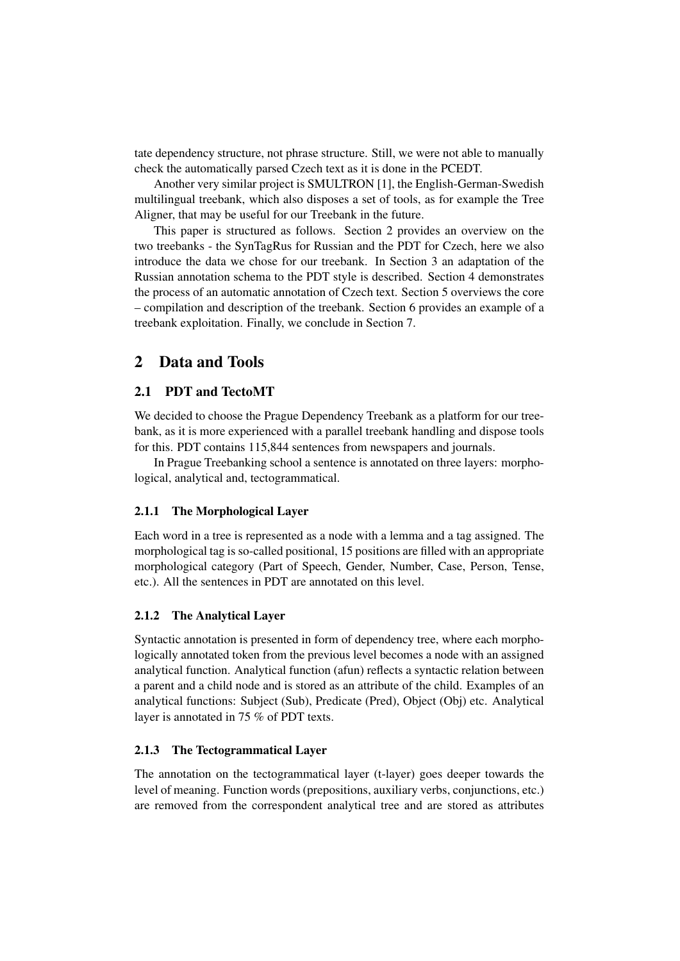tate dependency structure, not phrase structure. Still, we were not able to manually check the automatically parsed Czech text as it is done in the PCEDT.

Another very similar project is SMULTRON [1], the English-German-Swedish multilingual treebank, which also disposes a set of tools, as for example the Tree Aligner, that may be useful for our Treebank in the future.

This paper is structured as follows. Section 2 provides an overview on the two treebanks - the SynTagRus for Russian and the PDT for Czech, here we also introduce the data we chose for our treebank. In Section 3 an adaptation of the Russian annotation schema to the PDT style is described. Section 4 demonstrates the process of an automatic annotation of Czech text. Section 5 overviews the core – compilation and description of the treebank. Section 6 provides an example of a treebank exploitation. Finally, we conclude in Section 7.

### 2 Data and Tools

#### 2.1 PDT and TectoMT

We decided to choose the Prague Dependency Treebank as a platform for our treebank, as it is more experienced with a parallel treebank handling and dispose tools for this. PDT contains 115,844 sentences from newspapers and journals.

In Prague Treebanking school a sentence is annotated on three layers: morphological, analytical and, tectogrammatical.

#### 2.1.1 The Morphological Layer

Each word in a tree is represented as a node with a lemma and a tag assigned. The morphological tag is so-called positional, 15 positions are filled with an appropriate morphological category (Part of Speech, Gender, Number, Case, Person, Tense, etc.). All the sentences in PDT are annotated on this level.

#### 2.1.2 The Analytical Layer

Syntactic annotation is presented in form of dependency tree, where each morphologically annotated token from the previous level becomes a node with an assigned analytical function. Analytical function (afun) reflects a syntactic relation between a parent and a child node and is stored as an attribute of the child. Examples of an analytical functions: Subject (Sub), Predicate (Pred), Object (Obj) etc. Analytical layer is annotated in 75 % of PDT texts.

#### 2.1.3 The Tectogrammatical Layer

The annotation on the tectogrammatical layer (t-layer) goes deeper towards the level of meaning. Function words (prepositions, auxiliary verbs, conjunctions, etc.) are removed from the correspondent analytical tree and are stored as attributes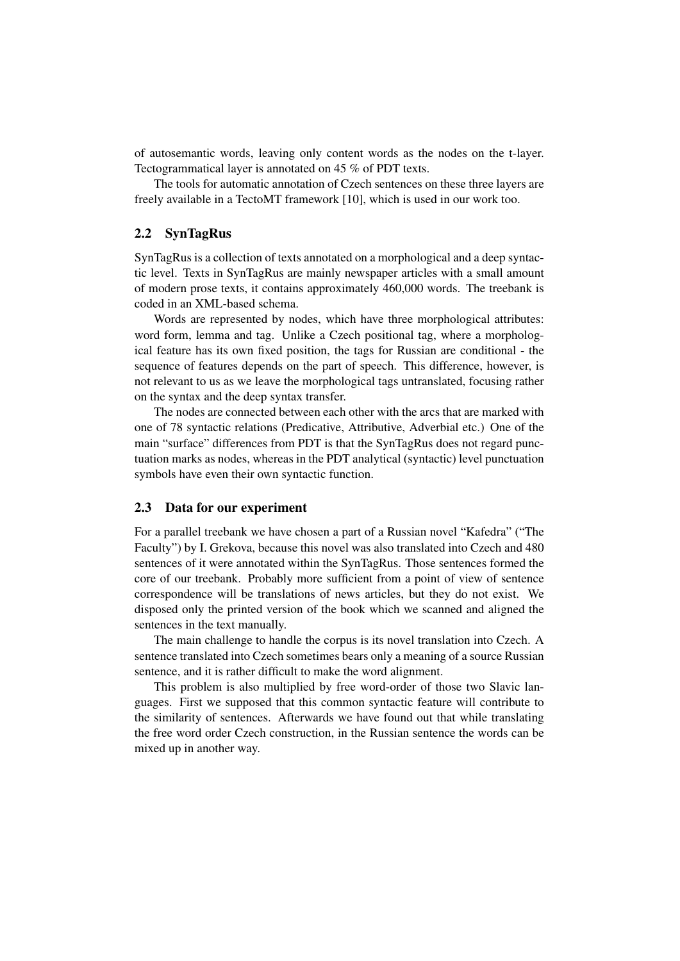of autosemantic words, leaving only content words as the nodes on the t-layer. Tectogrammatical layer is annotated on 45 % of PDT texts.

The tools for automatic annotation of Czech sentences on these three layers are freely available in a TectoMT framework [10], which is used in our work too.

#### 2.2 SynTagRus

SynTagRus is a collection of texts annotated on a morphological and a deep syntactic level. Texts in SynTagRus are mainly newspaper articles with a small amount of modern prose texts, it contains approximately 460,000 words. The treebank is coded in an XML-based schema.

Words are represented by nodes, which have three morphological attributes: word form, lemma and tag. Unlike a Czech positional tag, where a morphological feature has its own fixed position, the tags for Russian are conditional - the sequence of features depends on the part of speech. This difference, however, is not relevant to us as we leave the morphological tags untranslated, focusing rather on the syntax and the deep syntax transfer.

The nodes are connected between each other with the arcs that are marked with one of 78 syntactic relations (Predicative, Attributive, Adverbial etc.) One of the main "surface" differences from PDT is that the SynTagRus does not regard punctuation marks as nodes, whereas in the PDT analytical (syntactic) level punctuation symbols have even their own syntactic function.

#### 2.3 Data for our experiment

For a parallel treebank we have chosen a part of a Russian novel "Kafedra" ("The Faculty") by I. Grekova, because this novel was also translated into Czech and 480 sentences of it were annotated within the SynTagRus. Those sentences formed the core of our treebank. Probably more sufficient from a point of view of sentence correspondence will be translations of news articles, but they do not exist. We disposed only the printed version of the book which we scanned and aligned the sentences in the text manually.

The main challenge to handle the corpus is its novel translation into Czech. A sentence translated into Czech sometimes bears only a meaning of a source Russian sentence, and it is rather difficult to make the word alignment.

This problem is also multiplied by free word-order of those two Slavic languages. First we supposed that this common syntactic feature will contribute to the similarity of sentences. Afterwards we have found out that while translating the free word order Czech construction, in the Russian sentence the words can be mixed up in another way.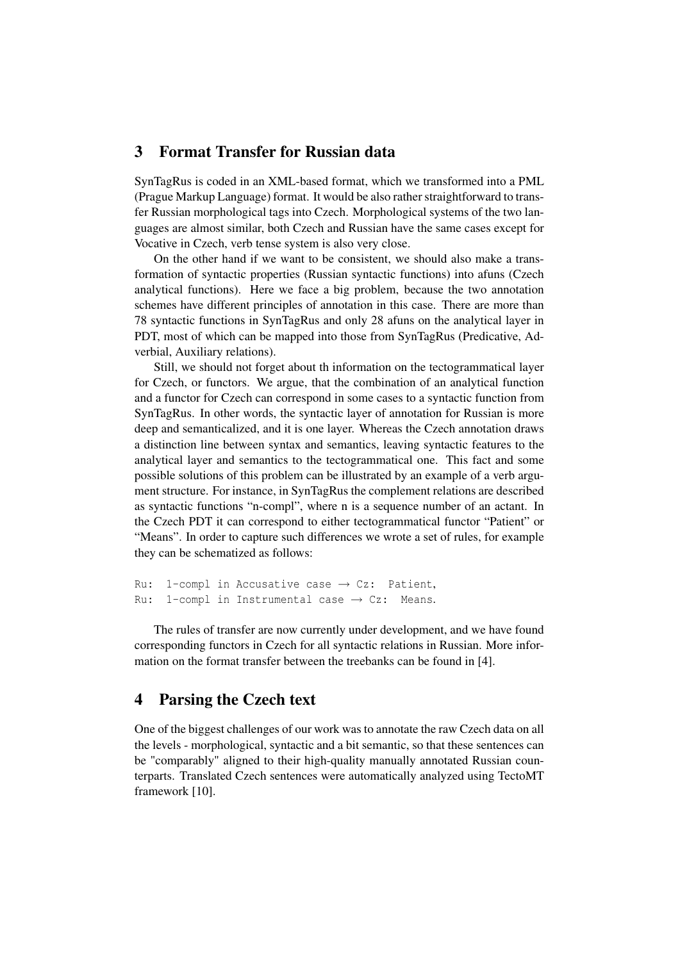### 3 Format Transfer for Russian data

SynTagRus is coded in an XML-based format, which we transformed into a PML (Prague Markup Language) format. It would be also rather straightforward to transfer Russian morphological tags into Czech. Morphological systems of the two languages are almost similar, both Czech and Russian have the same cases except for Vocative in Czech, verb tense system is also very close.

On the other hand if we want to be consistent, we should also make a transformation of syntactic properties (Russian syntactic functions) into afuns (Czech analytical functions). Here we face a big problem, because the two annotation schemes have different principles of annotation in this case. There are more than 78 syntactic functions in SynTagRus and only 28 afuns on the analytical layer in PDT, most of which can be mapped into those from SynTagRus (Predicative, Adverbial, Auxiliary relations).

Still, we should not forget about th information on the tectogrammatical layer for Czech, or functors. We argue, that the combination of an analytical function and a functor for Czech can correspond in some cases to a syntactic function from SynTagRus. In other words, the syntactic layer of annotation for Russian is more deep and semanticalized, and it is one layer. Whereas the Czech annotation draws a distinction line between syntax and semantics, leaving syntactic features to the analytical layer and semantics to the tectogrammatical one. This fact and some possible solutions of this problem can be illustrated by an example of a verb argument structure. For instance, in SynTagRus the complement relations are described as syntactic functions "n-compl", where n is a sequence number of an actant. In the Czech PDT it can correspond to either tectogrammatical functor "Patient" or "Means". In order to capture such differences we wrote a set of rules, for example they can be schematized as follows:

```
Ru: 1-compl in Accusative case \rightarrow Cz: Patient,
Ru: 1-compl in Instrumental case \rightarrow Cz: Means.
```
The rules of transfer are now currently under development, and we have found corresponding functors in Czech for all syntactic relations in Russian. More information on the format transfer between the treebanks can be found in [4].

# 4 Parsing the Czech text

One of the biggest challenges of our work was to annotate the raw Czech data on all the levels - morphological, syntactic and a bit semantic, so that these sentences can be "comparably" aligned to their high-quality manually annotated Russian counterparts. Translated Czech sentences were automatically analyzed using TectoMT framework [10].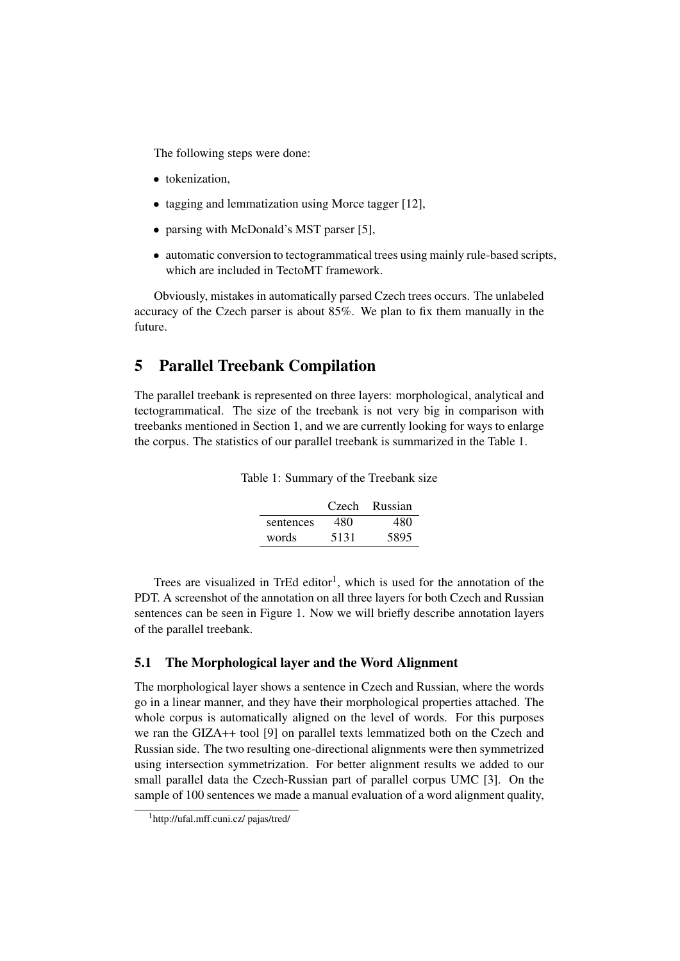The following steps were done:

- tokenization.
- tagging and lemmatization using Morce tagger [12],
- parsing with McDonald's MST parser [5],
- automatic conversion to tectogrammatical trees using mainly rule-based scripts, which are included in TectoMT framework.

Obviously, mistakes in automatically parsed Czech trees occurs. The unlabeled accuracy of the Czech parser is about 85%. We plan to fix them manually in the future.

### 5 Parallel Treebank Compilation

The parallel treebank is represented on three layers: morphological, analytical and tectogrammatical. The size of the treebank is not very big in comparison with treebanks mentioned in Section 1, and we are currently looking for ways to enlarge the corpus. The statistics of our parallel treebank is summarized in the Table 1.

|           |      | Czech Russian |
|-----------|------|---------------|
| sentences | 480  | 480           |
| words     | 5131 | 5895          |

Table 1: Summary of the Treebank size

Trees are visualized in TrEd editor<sup>1</sup>, which is used for the annotation of the PDT. A screenshot of the annotation on all three layers for both Czech and Russian sentences can be seen in Figure 1. Now we will briefly describe annotation layers of the parallel treebank.

#### 5.1 The Morphological layer and the Word Alignment

The morphological layer shows a sentence in Czech and Russian, where the words go in a linear manner, and they have their morphological properties attached. The whole corpus is automatically aligned on the level of words. For this purposes we ran the GIZA++ tool [9] on parallel texts lemmatized both on the Czech and Russian side. The two resulting one-directional alignments were then symmetrized using intersection symmetrization. For better alignment results we added to our small parallel data the Czech-Russian part of parallel corpus UMC [3]. On the sample of 100 sentences we made a manual evaluation of a word alignment quality,

<sup>1</sup>http://ufal.mff.cuni.cz/ pajas/tred/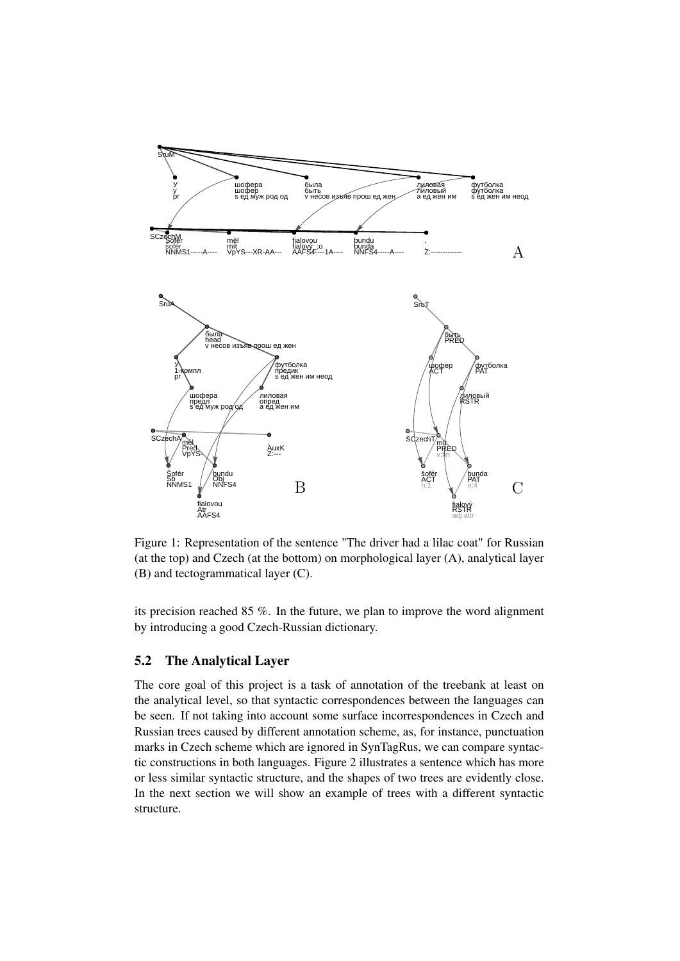

Figure 1: Representation of the sentence "The driver had a lilac coat" for Russian (at the top) and Czech (at the bottom) on morphological layer (A), analytical layer (B) and tectogrammatical layer (C).

its precision reached 85 %. In the future, we plan to improve the word alignment by introducing a good Czech-Russian dictionary.

#### 5.2 The Analytical Layer

The core goal of this project is a task of annotation of the treebank at least on the analytical level, so that syntactic correspondences between the languages can be seen. If not taking into account some surface incorrespondences in Czech and Russian trees caused by different annotation scheme, as, for instance, punctuation marks in Czech scheme which are ignored in SynTagRus, we can compare syntactic constructions in both languages. Figure 2 illustrates a sentence which has more or less similar syntactic structure, and the shapes of two trees are evidently close. In the next section we will show an example of trees with a different syntactic structure.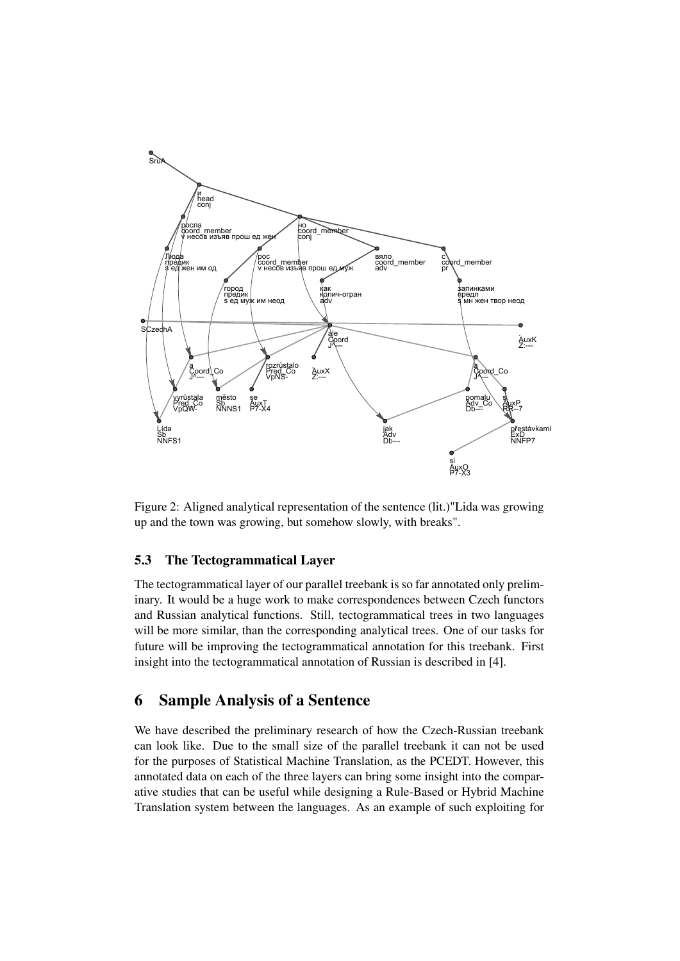

Figure 2: Aligned analytical representation of the sentence (lit.)"Lida was growing up and the town was growing, but somehow slowly, with breaks".

### 5.3 The Tectogrammatical Layer

The tectogrammatical layer of our parallel treebank is so far annotated only preliminary. It would be a huge work to make correspondences between Czech functors and Russian analytical functions. Still, tectogrammatical trees in two languages will be more similar, than the corresponding analytical trees. One of our tasks for future will be improving the tectogrammatical annotation for this treebank. First insight into the tectogrammatical annotation of Russian is described in [4].

# 6 Sample Analysis of a Sentence

We have described the preliminary research of how the Czech-Russian treebank can look like. Due to the small size of the parallel treebank it can not be used for the purposes of Statistical Machine Translation, as the PCEDT. However, this annotated data on each of the three layers can bring some insight into the comparative studies that can be useful while designing a Rule-Based or Hybrid Machine Translation system between the languages. As an example of such exploiting for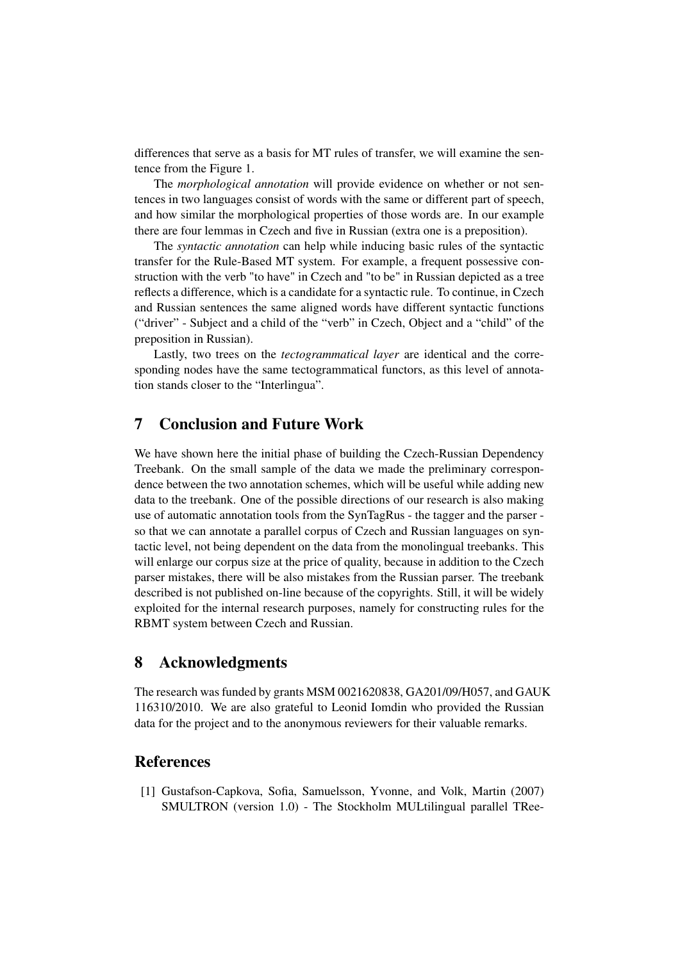differences that serve as a basis for MT rules of transfer, we will examine the sentence from the Figure 1.

The *morphological annotation* will provide evidence on whether or not sentences in two languages consist of words with the same or different part of speech, and how similar the morphological properties of those words are. In our example there are four lemmas in Czech and five in Russian (extra one is a preposition).

The *syntactic annotation* can help while inducing basic rules of the syntactic transfer for the Rule-Based MT system. For example, a frequent possessive construction with the verb "to have" in Czech and "to be" in Russian depicted as a tree reflects a difference, which is a candidate for a syntactic rule. To continue, in Czech and Russian sentences the same aligned words have different syntactic functions ("driver" - Subject and a child of the "verb" in Czech, Object and a "child" of the preposition in Russian).

Lastly, two trees on the *tectogrammatical layer* are identical and the corresponding nodes have the same tectogrammatical functors, as this level of annotation stands closer to the "Interlingua".

### 7 Conclusion and Future Work

We have shown here the initial phase of building the Czech-Russian Dependency Treebank. On the small sample of the data we made the preliminary correspondence between the two annotation schemes, which will be useful while adding new data to the treebank. One of the possible directions of our research is also making use of automatic annotation tools from the SynTagRus - the tagger and the parser so that we can annotate a parallel corpus of Czech and Russian languages on syntactic level, not being dependent on the data from the monolingual treebanks. This will enlarge our corpus size at the price of quality, because in addition to the Czech parser mistakes, there will be also mistakes from the Russian parser. The treebank described is not published on-line because of the copyrights. Still, it will be widely exploited for the internal research purposes, namely for constructing rules for the RBMT system between Czech and Russian.

### 8 Acknowledgments

The research was funded by grants MSM 0021620838, GA201/09/H057, and GAUK 116310/2010. We are also grateful to Leonid Iomdin who provided the Russian data for the project and to the anonymous reviewers for their valuable remarks.

# References

[1] Gustafson-Capkova, Sofia, Samuelsson, Yvonne, and Volk, Martin (2007) SMULTRON (version 1.0) - The Stockholm MULtilingual parallel TRee